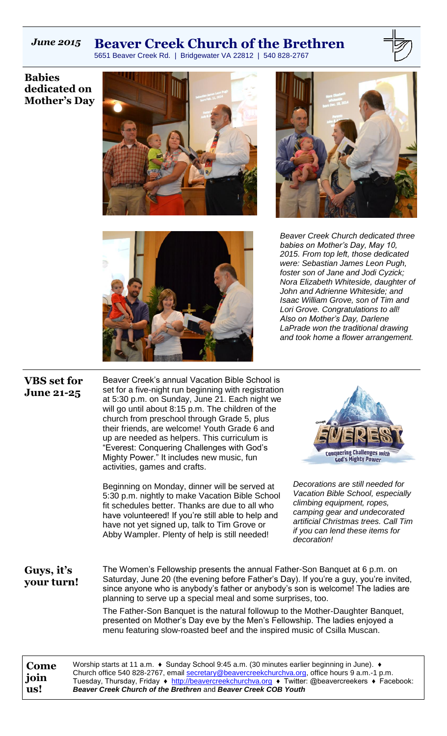# *June 2015* **Beaver Creek Church of the Brethren**

5651 Beaver Creek Rd. | Bridgewater VA 22812 | 540 828-2767

**Babies dedicated on Mother's Day**







*Beaver Creek Church dedicated three babies on Mother's Day, May 10, 2015. From top left, those dedicated were: Sebastian James Leon Pugh, foster son of Jane and Jodi Cyzick; Nora Elizabeth Whiteside, daughter of John and Adrienne Whiteside; and Isaac William Grove, son of Tim and Lori Grove. Congratulations to all! Also on Mother's Day, Darlene LaPrade won the traditional drawing and took home a flower arrangement.*

## **VBS set for June 21-25**

Beaver Creek's annual Vacation Bible School is set for a five-night run beginning with registration at 5:30 p.m. on Sunday, June 21. Each night we will go until about 8:15 p.m. The children of the church from preschool through Grade 5, plus their friends, are welcome! Youth Grade 6 and up are needed as helpers. This curriculum is "Everest: Conquering Challenges with God's Mighty Power." It includes new music, fun activities, games and crafts.

Beginning on Monday, dinner will be served at 5:30 p.m. nightly to make Vacation Bible School fit schedules better. Thanks are due to all who have volunteered! If you're still able to help and have not yet signed up, talk to Tim Grove or Abby Wampler. Plenty of help is still needed!



*Decorations are still needed for Vacation Bible School, especially climbing equipment, ropes, camping gear and undecorated artificial Christmas trees. Call Tim if you can lend these items for decoration!*

**Guys, it's your turn!**

The Women's Fellowship presents the annual Father-Son Banquet at 6 p.m. on Saturday, June 20 (the evening before Father's Day). If you're a guy, you're invited, since anyone who is anybody's father or anybody's son is welcome! The ladies are planning to serve up a special meal and some surprises, too.

The Father-Son Banquet is the natural followup to the Mother-Daughter Banquet, presented on Mother's Day eve by the Men's Fellowship. The ladies enjoyed a menu featuring slow-roasted beef and the inspired music of Csilla Muscan.

**Come join us!** Worship starts at 11 a.m. ♦ Sunday School 9:45 a.m. (30 minutes earlier beginning in June). ♦ Church office 540 828-2767, email [secretary@beavercreekchurchva.org,](mailto:secretary@beavercreekchurchva.org) office hours 9 a.m.-1 p.m. Tuesday, Thursday, Friday ♦ [http://beavercreekchurchva.org](http://beavercreekchurchva.org/) ♦ Twitter: @beavercreekers ♦ Facebook: *Beaver Creek Church of the Brethren* and *Beaver Creek COB Youth*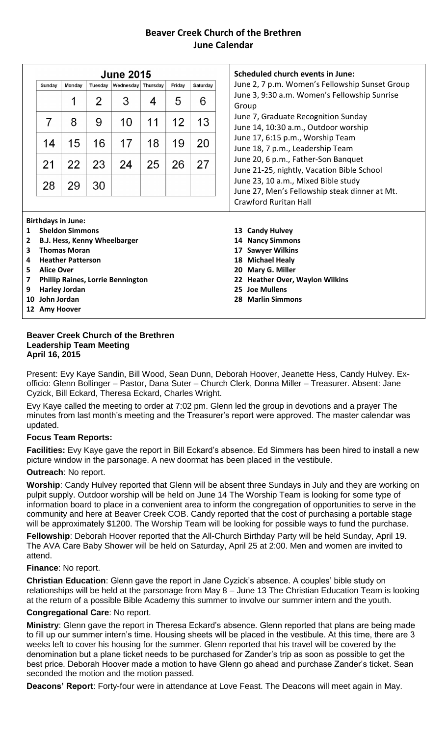## **Beaver Creek Church of the Brethren June Calendar**

|              |                   |                           |         | <b>June 2015</b>                         |    |        |          |
|--------------|-------------------|---------------------------|---------|------------------------------------------|----|--------|----------|
|              | Sunday            | Monday                    | Tuesday | Wednesday Thursday                       |    | Friday | Saturday |
|              |                   |                           | 2       | 3                                        | 4  | 5      | 6        |
|              | 7                 | 8                         | 9       | 10                                       | 11 | 12     | 13       |
|              | 14                | 15                        | 16      | 17                                       | 18 | 19     | 20       |
|              | 21                | 22                        | 23      | 24                                       | 25 | 26     | 27       |
|              | 28                | 29                        | 30      |                                          |    |        |          |
|              |                   |                           |         |                                          |    |        |          |
|              |                   | <b>Birthdays in June:</b> |         |                                          |    |        |          |
| $\mathbf{1}$ |                   | <b>Sheldon Simmons</b>    |         |                                          |    |        |          |
| 2            |                   |                           |         | <b>B.J. Hess, Kenny Wheelbarger</b>      |    |        |          |
| 3            |                   | <b>Thomas Moran</b>       |         |                                          |    |        |          |
| 4            |                   | <b>Heather Patterson</b>  |         |                                          |    |        |          |
| 5            | <b>Alice Over</b> |                           |         |                                          |    |        |          |
| 7            |                   |                           |         | <b>Phillip Raines, Lorrie Bennington</b> |    |        |          |
| 9            | 10 John Jordan    | <b>Harley Jordan</b>      |         |                                          |    |        |          |
|              |                   |                           |         |                                          |    |        |          |
|              | 12 Amy Hoover     |                           |         |                                          |    |        |          |

#### **Beaver Creek Church of the Brethren Leadership Team Meeting April 16, 2015**

Present: Evy Kaye Sandin, Bill Wood, Sean Dunn, Deborah Hoover, Jeanette Hess, Candy Hulvey. Exofficio: Glenn Bollinger – Pastor, Dana Suter – Church Clerk, Donna Miller – Treasurer. Absent: Jane Cyzick, Bill Eckard, Theresa Eckard, Charles Wright.

Evy Kaye called the meeting to order at 7:02 pm. Glenn led the group in devotions and a prayer The minutes from last month's meeting and the Treasurer's report were approved. The master calendar was updated.

## **Focus Team Reports:**

**Facilities:** Evy Kaye gave the report in Bill Eckard's absence. Ed Simmers has been hired to install a new picture window in the parsonage. A new doormat has been placed in the vestibule.

#### **Outreach**: No report.

**Worship**: Candy Hulvey reported that Glenn will be absent three Sundays in July and they are working on pulpit supply. Outdoor worship will be held on June 14 The Worship Team is looking for some type of information board to place in a convenient area to inform the congregation of opportunities to serve in the community and here at Beaver Creek COB. Candy reported that the cost of purchasing a portable stage will be approximately \$1200. The Worship Team will be looking for possible ways to fund the purchase.

**Fellowship**: Deborah Hoover reported that the All-Church Birthday Party will be held Sunday, April 19. The AVA Care Baby Shower will be held on Saturday, April 25 at 2:00. Men and women are invited to attend.

#### **Finance**: No report.

**Christian Education**: Glenn gave the report in Jane Cyzick's absence. A couples' bible study on relationships will be held at the parsonage from May 8 – June 13 The Christian Education Team is looking at the return of a possible Bible Academy this summer to involve our summer intern and the youth.

#### **Congregational Care**: No report.

**Ministry**: Glenn gave the report in Theresa Eckard's absence. Glenn reported that plans are being made to fill up our summer intern's time. Housing sheets will be placed in the vestibule. At this time, there are 3 weeks left to cover his housing for the summer. Glenn reported that his travel will be covered by the denomination but a plane ticket needs to be purchased for Zander's trip as soon as possible to get the best price. Deborah Hoover made a motion to have Glenn go ahead and purchase Zander's ticket. Sean seconded the motion and the motion passed.

**Deacons' Report**: Forty-four were in attendance at Love Feast. The Deacons will meet again in May.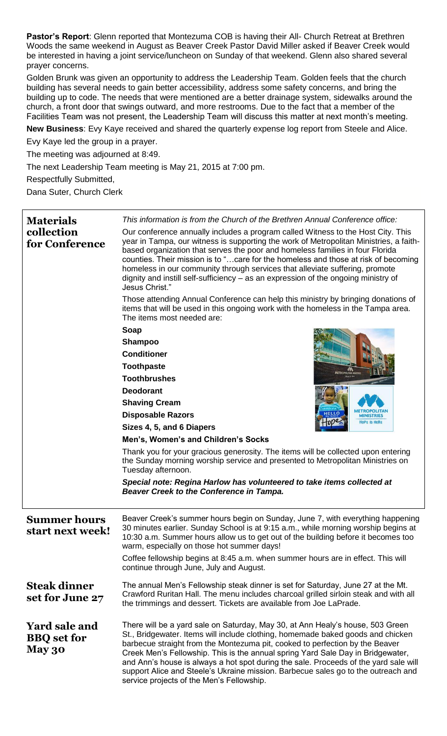**Pastor's Report**: Glenn reported that Montezuma COB is having their All- Church Retreat at Brethren Woods the same weekend in August as Beaver Creek Pastor David Miller asked if Beaver Creek would be interested in having a joint service/luncheon on Sunday of that weekend. Glenn also shared several prayer concerns.

Golden Brunk was given an opportunity to address the Leadership Team. Golden feels that the church building has several needs to gain better accessibility, address some safety concerns, and bring the building up to code. The needs that were mentioned are a better drainage system, sidewalks around the church, a front door that swings outward, and more restrooms. Due to the fact that a member of the Facilities Team was not present, the Leadership Team will discuss this matter at next month's meeting.

**New Business**: Evy Kaye received and shared the quarterly expense log report from Steele and Alice.

Evy Kaye led the group in a prayer.

The meeting was adjourned at 8:49.

The next Leadership Team meeting is May 21, 2015 at 7:00 pm.

Respectfully Submitted,

Dana Suter, Church Clerk